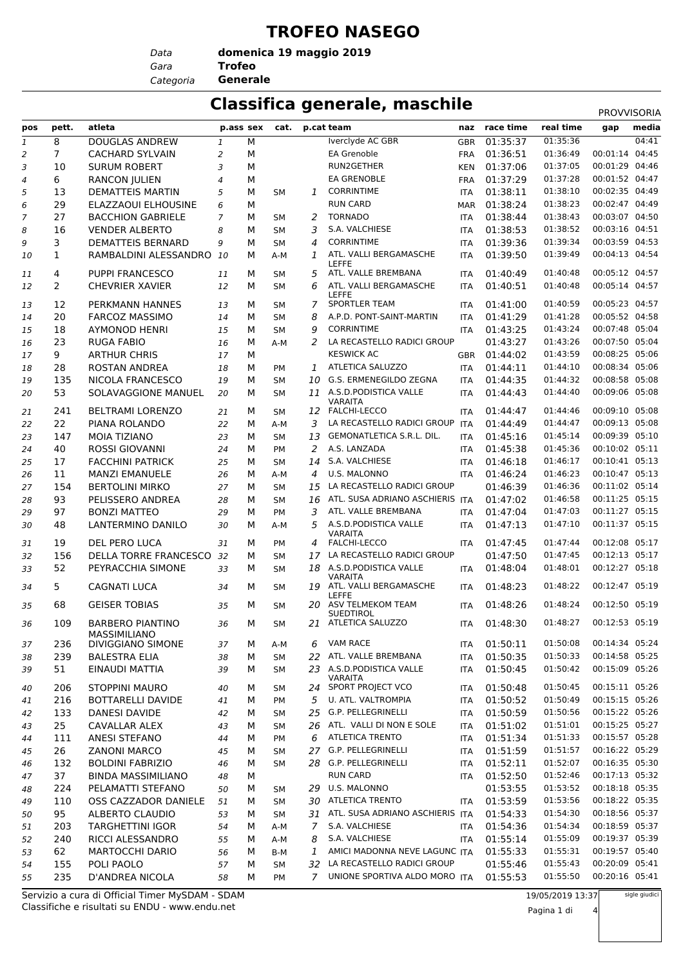#### **TROFEO NASEGO**

*Gara* **Trofeo** *Data Categoria* **Generale**

**domenica 19 maggio 2019**

#### **Classifica generale, maschile** PROVISORI

|     |                |                                                |                |   |           |                |                                                                |            |               |           | <b>PROVVISORIA</b> |       |
|-----|----------------|------------------------------------------------|----------------|---|-----------|----------------|----------------------------------------------------------------|------------|---------------|-----------|--------------------|-------|
| pos | pett.          | atleta                                         | p.ass sex      |   | cat.      |                | p.cat team                                                     |            | naz race time | real time | gap                | media |
| 1   | 8              | DOUGLAS ANDREW                                 | 1              | М |           |                | Iverclyde AC GBR                                               | <b>GBR</b> | 01:35:37      | 01:35:36  |                    | 04:41 |
| 2   | $\overline{7}$ | <b>CACHARD SYLVAIN</b>                         | 2              | М |           |                | EA Grenoble                                                    | <b>FRA</b> | 01:36:51      | 01:36:49  | 00:01:14           | 04:45 |
| 3   | 10             | <b>SURUM ROBERT</b>                            | 3              | М |           |                | RUN2GETHER                                                     | <b>KEN</b> | 01:37:06      | 01:37:05  | 00:01:29 04:46     |       |
| 4   | 6              | <b>RANCON JULIEN</b>                           | $\overline{4}$ | М |           |                | <b>EA GRENOBLE</b>                                             | <b>FRA</b> | 01:37:29      | 01:37:28  | 00:01:52 04:47     |       |
| 5   | 13             | <b>DEMATTEIS MARTIN</b>                        | 5              | М | <b>SM</b> | 1              | <b>CORRINTIME</b>                                              | <b>ITA</b> | 01:38:11      | 01:38:10  | 00:02:35 04:49     |       |
| 6   | 29             | ELAZZAOUI ELHOUSINE                            | 6              | м |           |                | <b>RUN CARD</b>                                                | <b>MAR</b> | 01:38:24      | 01:38:23  | 00:02:47 04:49     |       |
| 7   | 27             | <b>BACCHION GABRIELE</b>                       | $\overline{7}$ | М | <b>SM</b> | 2              | <b>TORNADO</b>                                                 | <b>ITA</b> | 01:38:44      | 01:38:43  | 00:03:07 04:50     |       |
| 8   | 16             | <b>VENDER ALBERTO</b>                          | 8              | М | <b>SM</b> | 3              | S.A. VALCHIESE                                                 | <b>ITA</b> | 01:38:53      | 01:38:52  | 00:03:16 04:51     |       |
| 9   | 3              | <b>DEMATTEIS BERNARD</b>                       | 9              | м | <b>SM</b> | 4              | <b>CORRINTIME</b>                                              | <b>ITA</b> | 01:39:36      | 01:39:34  | 00:03:59 04:53     |       |
| 10  | 1              | RAMBALDINI ALESSANDRO                          | 10             | м | A-M       | 1              | ATL. VALLI BERGAMASCHE<br><b>LEFFE</b>                         | <b>ITA</b> | 01:39:50      | 01:39:49  | 00:04:13 04:54     |       |
| 11  | 4              | <b>PUPPI FRANCESCO</b>                         | 11             | м | <b>SM</b> | 5              | ATL. VALLE BREMBANA                                            | <b>ITA</b> | 01:40:49      | 01:40:48  | 00:05:12 04:57     |       |
| 12  | 2              | <b>CHEVRIER XAVIER</b>                         | 12             | М | <b>SM</b> | 6              | ATL. VALLI BERGAMASCHE                                         | <b>ITA</b> | 01:40:51      | 01:40:48  | 00:05:14 04:57     |       |
| 13  | 12             | PERKMANN HANNES                                | 13             | м | <b>SM</b> | 7              | LEFFE<br><b>SPORTLER TEAM</b>                                  | <b>ITA</b> | 01:41:00      | 01:40:59  | 00:05:23 04:57     |       |
| 14  | 20             | <b>FARCOZ MASSIMO</b>                          | 14             | М | <b>SM</b> | 8              | A.P.D. PONT-SAINT-MARTIN                                       | <b>ITA</b> | 01:41:29      | 01:41:28  | 00:05:52 04:58     |       |
| 15  | 18             | <b>AYMONOD HENRI</b>                           | 15             | м | <b>SM</b> | 9              | <b>CORRINTIME</b>                                              | <b>ITA</b> | 01:43:25      | 01:43:24  | 00:07:48 05:04     |       |
| 16  | 23             | <b>RUGA FABIO</b>                              | 16             | м | A-M       | 2              | LA RECASTELLO RADICI GROUP                                     |            | 01:43:27      | 01:43:26  | 00:07:50 05:04     |       |
| 17  | 9              | <b>ARTHUR CHRIS</b>                            | 17             | М |           |                | <b>KESWICK AC</b>                                              | <b>GBR</b> | 01:44:02      | 01:43:59  | 00:08:25 05:06     |       |
| 18  | 28             | <b>ROSTAN ANDREA</b>                           | 18             | м | <b>PM</b> | $\mathbf{1}$   | ATLETICA SALUZZO                                               | <b>ITA</b> | 01:44:11      | 01:44:10  | 00:08:34 05:06     |       |
| 19  | 135            | NICOLA FRANCESCO                               | 19             | м | <b>SM</b> | 10             | G.S. ERMENEGILDO ZEGNA                                         | <b>ITA</b> | 01:44:35      | 01:44:32  | 00:08:58 05:08     |       |
| 20  | 53             | SOLAVAGGIONE MANUEL                            | 20             | М | <b>SM</b> | 11             | A.S.D.PODISTICA VALLE                                          | <b>ITA</b> | 01:44:43      | 01:44:40  | 00:09:06 05:08     |       |
|     |                |                                                |                |   |           |                | <b>VARAITA</b>                                                 |            |               |           |                    |       |
| 21  | 241            | <b>BELTRAMI LORENZO</b>                        | 21             | м | SM        |                | 12 FALCHI-LECCO                                                | <b>ITA</b> | 01:44:47      | 01:44:46  | 00:09:10 05:08     |       |
| 22  | 22             | PIANA ROLANDO                                  | 22             | М | A-M       | 3              | LA RECASTELLO RADICI GROUP                                     | <b>ITA</b> | 01:44:49      | 01:44:47  | 00:09:13 05:08     |       |
| 23  | 147            | MOIA TIZIANO                                   | 23             | М | <b>SM</b> | 13             | GEMONATLETICA S.R.L. DIL.                                      | <b>ITA</b> | 01:45:16      | 01:45:14  | 00:09:39 05:10     |       |
| 24  | 40             | <b>ROSSI GIOVANNI</b>                          | 24             | м | <b>PM</b> | 2              | A.S. LANZADA                                                   | <b>ITA</b> | 01:45:38      | 01:45:36  | 00:10:02 05:11     |       |
| 25  | 17             | <b>FACCHINI PATRICK</b>                        | 25             | М | <b>SM</b> | 14             | S.A. VALCHIESE                                                 | <b>ITA</b> | 01:46:18      | 01:46:17  | 00:10:41 05:13     |       |
| 26  | 11             | <b>MANZI EMANUELE</b>                          | 26             | М | A-M       | 4              | U.S. MALONNO                                                   | <b>ITA</b> | 01:46:24      | 01:46:23  | 00:10:47 05:13     |       |
| 27  | 154            | <b>BERTOLINI MIRKO</b>                         | 27             | м | <b>SM</b> | 15             | LA RECASTELLO RADICI GROUP                                     |            | 01:46:39      | 01:46:36  | 00:11:02 05:14     |       |
| 28  | 93             | PELISSERO ANDREA                               | 28             | М | <b>SM</b> | 16             | ATL. SUSA ADRIANO ASCHIERIS ITA                                |            | 01:47:02      | 01:46:58  | 00:11:25 05:15     |       |
| 29  | 97             | <b>BONZI MATTEO</b>                            | 29             | М | PM        | 3              | ATL. VALLE BREMBANA                                            | <b>ITA</b> | 01:47:04      | 01:47:03  | 00:11:27 05:15     |       |
| 30  | 48             | LANTERMINO DANILO                              | 30             | м | A-M       | 5              | A.S.D.PODISTICA VALLE<br><b>VARAITA</b>                        | <b>ITA</b> | 01:47:13      | 01:47:10  | 00:11:37 05:15     |       |
| 31  | 19             | DEL PERO LUCA                                  | 31             | М | <b>PM</b> | 4              | <b>FALCHI-LECCO</b>                                            | <b>ITA</b> | 01:47:45      | 01:47:44  | 00:12:08 05:17     |       |
| 32  | 156            | DELLA TORRE FRANCESCO                          | 32             | м | <b>SM</b> | 17             | LA RECASTELLO RADICI GROUP                                     |            | 01:47:50      | 01:47:45  | 00:12:13 05:17     |       |
| 33  | 52             | PEYRACCHIA SIMONE                              | 33             | м | <b>SM</b> | 18             | A.S.D.PODISTICA VALLE                                          | <b>ITA</b> | 01:48:04      | 01:48:01  | 00:12:27 05:18     |       |
| 34  | 5              | <b>CAGNATI LUCA</b>                            | 34             | м | <b>SM</b> | 19             | <b>VARAITA</b><br>ATL. VALLI BERGAMASCHE                       | <b>ITA</b> | 01:48:23      | 01:48:22  | 00:12:47 05:19     |       |
| 35  | 68             | <b>GEISER TOBIAS</b>                           | 35             | М | <b>SM</b> |                | <b>LEFFE</b><br>20 ASV TELMEKOM TEAM                           | <b>ITA</b> | 01:48:26      | 01:48:24  | 00:12:50 05:19     |       |
|     |                |                                                |                |   |           |                | <b>SUEDTIROL</b><br>21 ATLETICA SALUZZO                        |            |               | 01:48:27  | 00:12:53 05:19     |       |
| 36  | 109            | <b>BARBERO PIANTINO</b><br><b>MASSIMILIANO</b> | 36             | М | <b>SM</b> |                |                                                                | <b>ITA</b> | 01:48:30      |           |                    |       |
| 37  | 236            | DIVIGGIANO SIMONE                              | 37             | М | A-M       | 6              | VAM RACE                                                       | ITA        | 01:50:11      | 01:50:08  | 00:14:34 05:24     |       |
| 38  | 239            | <b>BALESTRA ELIA</b>                           | 38             | м | SM        |                | 22 ATL. VALLE BREMBANA                                         | <b>ITA</b> | 01:50:35      | 01:50:33  | 00:14:58 05:25     |       |
| 39  | 51             | EINAUDI MATTIA                                 | 39             | м | SM        |                | 23 A.S.D. PODISTICA VALLE<br>VARAITA                           | ITA        | 01:50:45      | 01:50:42  | 00:15:09 05:26     |       |
| 40  | 206            | <b>STOPPINI MAURO</b>                          | 40             | м | SM        |                | 24 SPORT PROJECT VCO                                           | ITA        | 01:50:48      | 01:50:45  | 00:15:11 05:26     |       |
| 41  | 216            | <b>BOTTARELLI DAVIDE</b>                       | 41             | м | PM        | 5              | U. ATL. VALTROMPIA                                             | ITA        | 01:50:52      | 01:50:49  | 00:15:15 05:26     |       |
| 42  | 133            | DANESI DAVIDE                                  | 42             | м | <b>SM</b> | 25             | G.P. PELLEGRINELLI                                             | ITA        | 01:50:59      | 01:50:56  | 00:15:22 05:26     |       |
| 43  | 25             | CAVALLAR ALEX                                  | 43             | м | <b>SM</b> |                | 26 ATL. VALLI DI NON E SOLE                                    | ITA        | 01:51:02      | 01:51:01  | 00:15:25 05:27     |       |
| 44  | 111            | ANESI STEFANO                                  | 44             | м | PM        | 6              | <b>ATLETICA TRENTO</b>                                         | ITA        | 01:51:34      | 01:51:33  | 00:15:57 05:28     |       |
| 45  | 26             | <b>ZANONI MARCO</b>                            | 45             | м | <b>SM</b> |                | 27 G.P. PELLEGRINELLI                                          | ITA        | 01:51:59      | 01:51:57  | 00:16:22 05:29     |       |
| 46  | 132            | <b>BOLDINI FABRIZIO</b>                        | 46             | м | <b>SM</b> |                | 28 G.P. PELLEGRINELLI                                          | ITA        | 01:52:11      | 01:52:07  | 00:16:35 05:30     |       |
| 47  | 37             | <b>BINDA MASSIMILIANO</b>                      | 48             | м |           |                | <b>RUN CARD</b>                                                | ITA        | 01:52:50      | 01:52:46  | 00:17:13 05:32     |       |
| 48  | 224            | PELAMATTI STEFANO                              | 50             | м | SΜ        |                | 29 U.S. MALONNO                                                |            | 01:53:55      | 01:53:52  | 00:18:18 05:35     |       |
| 49  | 110            | OSS CAZZADOR DANIELE                           | 51             | м | <b>SM</b> |                | 30 ATLETICA TRENTO                                             | <b>ITA</b> | 01:53:59      | 01:53:56  | 00:18:22 05:35     |       |
|     | 95             | ALBERTO CLAUDIO                                | 53             | м | <b>SM</b> |                | 31 ATL. SUSA ADRIANO ASCHIERIS ITA                             |            | 01:54:33      | 01:54:30  | 00:18:56 05:37     |       |
| 50  |                | <b>TARGHETTINI IGOR</b>                        |                |   |           | $\overline{7}$ | S.A. VALCHIESE                                                 |            | 01:54:36      | 01:54:34  | 00:18:59 05:37     |       |
| 51  | 203<br>240     | RICCI ALESSANDRO                               | 54             | м | A-M       |                | S.A. VALCHIESE                                                 | <b>ITA</b> |               | 01:55:09  | 00:19:37 05:39     |       |
| 52  |                |                                                | 55             | м | A-M       | 8              |                                                                | <b>ITA</b> | 01:55:14      |           | 00:19:57 05:40     |       |
| 53  | 62             | <b>MARTOCCHI DARIO</b>                         | 56             | М | B-M       | 1              | AMICI MADONNA NEVE LAGUNC ITA<br>32 LA RECASTELLO RADICI GROUP |            | 01:55:33      | 01:55:31  | 00:20:09 05:41     |       |
| 54  | 155            | POLI PAOLO                                     | 57             | м | <b>SM</b> |                |                                                                |            | 01:55:46      | 01:55:43  |                    |       |
| 55  | 235            | <b>D'ANDREA NICOLA</b>                         | 58             | М | PM        | $7^{\circ}$    | UNIONE SPORTIVA ALDO MORO ITA                                  |            | 01:55:53      | 01:55:50  | 00:20:16 05:41     |       |

Classifiche e risultati su ENDU - www.endu.net Servizio a cura di Official Timer MySDAM - SDAM 19/05/2019 13:37

sigle giudici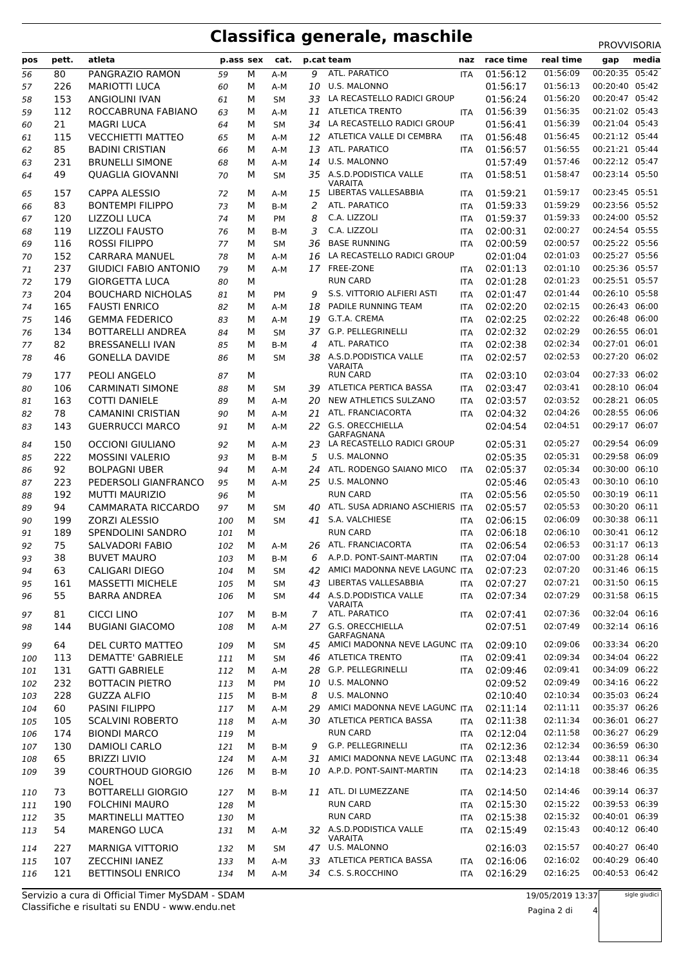# **Classifica generale, maschile** PROVVISORIA

| pos        | pett.     | atleta                                       | p.ass sex  |        | cat.             |    | p.cat team                                                 | naz                      | race time            | real time            | gap                              | media |
|------------|-----------|----------------------------------------------|------------|--------|------------------|----|------------------------------------------------------------|--------------------------|----------------------|----------------------|----------------------------------|-------|
| 56         | 80        | PANGRAZIO RAMON                              | 59         | М      | A-M              | 9  | ATL. PARATICO                                              | <b>ITA</b>               | 01:56:12             | 01:56:09             | 00:20:35 05:42                   |       |
| 57         | 226       | <b>MARIOTTI LUCA</b>                         | 60         | м      | A-M              | 10 | U.S. MALONNO                                               |                          | 01:56:17             | 01:56:13             | 00:20:40 05:42                   |       |
| 58         | 153       | <b>ANGIOLINI IVAN</b>                        | 61         | м      | <b>SM</b>        | 33 | LA RECASTELLO RADICI GROUP                                 |                          | 01:56:24             | 01:56:20             | 00:20:47 05:42                   |       |
| 59         | 112       | ROCCABRUNA FABIANO                           | 63         | м      | A-M              | 11 | <b>ATLETICA TRENTO</b>                                     | <b>ITA</b>               | 01:56:39             | 01:56:35             | 00:21:02 05:43                   |       |
| 60         | 21        | <b>MAGRI LUCA</b>                            | 64         | м      | <b>SM</b>        |    | 34 LA RECASTELLO RADICI GROUP                              |                          | 01:56:41             | 01:56:39             | 00:21:04 05:43                   |       |
| 61         | 115       | <b>VECCHIETTI MATTEO</b>                     | 65         | М      | A-M              |    | 12 ATLETICA VALLE DI CEMBRA                                | <b>ITA</b>               | 01:56:48             | 01:56:45             | 00:21:12 05:44                   |       |
| 62         | 85        | <b>BADINI CRISTIAN</b>                       | 66         | м      | A-M              | 13 | ATL. PARATICO                                              | <b>ITA</b>               | 01:56:57             | 01:56:55             | 00:21:21 05:44                   |       |
| 63         | 231       | <b>BRUNELLI SIMONE</b>                       | 68         | М      | A-M              | 14 | U.S. MALONNO                                               |                          | 01:57:49             | 01:57:46             | 00:22:12 05:47                   |       |
| 64         | 49        | <b>QUAGLIA GIOVANNI</b>                      | 70         | м      | <b>SM</b>        |    | 35 A.S.D.PODISTICA VALLE<br>VARAITA                        | <b>ITA</b>               | 01:58:51             | 01:58:47             | 00:23:14 05:50                   |       |
| 65         | 157       | CAPPA ALESSIO                                | 72         | м      | A-M              |    | 15 LIBERTAS VALLESABBIA                                    | <b>ITA</b>               | 01:59:21             | 01:59:17             | 00:23:45 05:51                   |       |
| 66         | 83        | <b>BONTEMPI FILIPPO</b>                      | 73         | M      | B-M              | 2  | ATL. PARATICO                                              | <b>ITA</b>               | 01:59:33             | 01:59:29             | 00:23:56 05:52                   |       |
| 67         | 120       | LIZZOLI LUCA                                 | 74         | м      | PM               | 8  | C.A. LIZZOLI                                               | <b>ITA</b>               | 01:59:37             | 01:59:33             | 00:24:00 05:52                   |       |
| 68         | 119       | <b>LIZZOLI FAUSTO</b>                        | 76         | м      | B-M              | 3  | C.A. LIZZOLI                                               | <b>ITA</b>               | 02:00:31             | 02:00:27             | 00:24:54 05:55                   |       |
| 69         | 116       | <b>ROSSI FILIPPO</b>                         | 77         | м      | <b>SM</b>        | 36 | <b>BASE RUNNING</b>                                        | <b>ITA</b>               | 02:00:59             | 02:00:57             | 00:25:22 05:56                   |       |
| 70         | 152       | <b>CARRARA MANUEL</b>                        | 78         | м      | A-M              | 16 | LA RECASTELLO RADICI GROUP                                 |                          | 02:01:04             | 02:01:03             | 00:25:27 05:56                   |       |
| 71         | 237       | <b>GIUDICI FABIO ANTONIO</b>                 | 79         | M      | A-M              |    | 17 FREE-ZONE                                               | <b>ITA</b>               | 02:01:13             | 02:01:10             | 00:25:36 05:57                   |       |
| 72         | 179       | <b>GIORGETTA LUCA</b>                        | 80         | М      |                  |    | <b>RUN CARD</b>                                            | <b>ITA</b>               | 02:01:28             | 02:01:23             | 00:25:51 05:57                   |       |
| 73         | 204       | <b>BOUCHARD NICHOLAS</b>                     | 81         | м      | PM               | 9  | S.S. VITTORIO ALFIERI ASTI                                 | <b>ITA</b>               | 02:01:47             | 02:01:44             | 00:26:10 05:58                   |       |
| 74         | 165       | <b>FAUSTI ENRICO</b>                         | 82         | м      | A-M              | 18 | PADILE RUNNING TEAM                                        | <b>ITA</b>               | 02:02:20             | 02:02:15<br>02:02:22 | 00:26:43 06:00                   |       |
| 75         | 146       | <b>GEMMA FEDERICO</b>                        | 83         | м      | A-M              | 19 | G.T.A. CREMA<br>37 G.P. PELLEGRINELLI                      | <b>ITA</b>               | 02:02:25<br>02:02:32 | 02:02:29             | 00:26:48 06:00<br>00:26:55 06:01 |       |
| 76         | 134<br>82 | BOTTARELLI ANDREA<br><b>BRESSANELLI IVAN</b> | 84<br>85   | м<br>м | <b>SM</b><br>B-M | 4  | ATL. PARATICO                                              | <b>ITA</b><br><b>ITA</b> | 02:02:38             | 02:02:34             | 00:27:01 06:01                   |       |
| 77<br>78   | 46        | <b>GONELLA DAVIDE</b>                        | 86         | М      | <b>SM</b>        | 38 | A.S.D.PODISTICA VALLE                                      | <b>ITA</b>               | 02:02:57             | 02:02:53             | 00:27:20 06:02                   |       |
|            |           |                                              |            |        |                  |    | <b>VARAITA</b>                                             |                          |                      |                      |                                  |       |
| 79         | 177       | PEOLI ANGELO                                 | 87         | м      |                  |    | <b>RUN CARD</b>                                            | <b>ITA</b>               | 02:03:10             | 02:03:04             | 00:27:33 06:02                   |       |
| 80         | 106       | <b>CARMINATI SIMONE</b>                      | 88         | М      | <b>SM</b>        | 39 | ATLETICA PERTICA BASSA                                     | <b>ITA</b>               | 02:03:47             | 02:03:41             | 00:28:10 06:04                   |       |
| 81         | 163       | <b>COTTI DANIELE</b>                         | 89         | м      | A-M              | 20 | NEW ATHLETICS SULZANO                                      | <b>ITA</b>               | 02:03:57             | 02:03:52             | 00:28:21 06:05                   |       |
| 82         | 78        | <b>CAMANINI CRISTIAN</b>                     | 90         | м      | A-M              | 21 | ATL. FRANCIACORTA                                          | <b>ITA</b>               | 02:04:32             | 02:04:26             | 00:28:55 06:06                   |       |
| 83         | 143       | <b>GUERRUCCI MARCO</b>                       | 91         | М      | A-M              |    | 22 G.S. ORECCHIELLA<br>GARFAGNANA                          |                          | 02:04:54             | 02:04:51             | 00:29:17 06:07                   |       |
| 84         | 150       | <b>OCCIONI GIULIANO</b>                      | 92         | м      | A-M              | 23 | LA RECASTELLO RADICI GROUP                                 |                          | 02:05:31             | 02:05:27             | 00:29:54 06:09                   |       |
| 85         | 222       | <b>MOSSINI VALERIO</b>                       | 93         | м      | B-M              | 5  | U.S. MALONNO                                               |                          | 02:05:35             | 02:05:31             | 00:29:58 06:09                   |       |
| 86         | 92        | <b>BOLPAGNI UBER</b>                         | 94         | м      | A-M              | 24 | ATL. RODENGO SAIANO MICO                                   | <b>ITA</b>               | 02:05:37             | 02:05:34             | 00:30:00 06:10                   |       |
| 87         | 223       | PEDERSOLI GIANFRANCO                         | 95         | м      | A-M              |    | 25 U.S. MALONNO                                            |                          | 02:05:46             | 02:05:43             | 00:30:10 06:10                   |       |
| 88         | 192       | <b>MUTTI MAURIZIO</b>                        | 96         | М      |                  |    | <b>RUN CARD</b>                                            | <b>ITA</b>               | 02:05:56             | 02:05:50             | 00:30:19 06:11                   |       |
| 89         | 94        | <b>CAMMARATA RICCARDO</b>                    | 97         | м      | <b>SM</b>        | 40 | ATL. SUSA ADRIANO ASCHIERIS ITA                            |                          | 02:05:57             | 02:05:53             | 00:30:20 06:11                   |       |
| 90         | 199       | ZORZI ALESSIO                                | 100        | м      | <b>SM</b>        | 41 | S.A. VALCHIESE<br><b>RUN CARD</b>                          | <b>ITA</b>               | 02:06:15             | 02:06:09<br>02:06:10 | 00:30:38 06:11<br>00:30:41 06:12 |       |
| 91<br>92   | 189<br>75 | SPENDOLINI SANDRO<br><b>SALVADORI FABIO</b>  | 101<br>102 | м<br>м | A-M              | 26 | ATL. FRANCIACORTA                                          | <b>ITA</b><br><b>ITA</b> | 02:06:18<br>02:06:54 | 02:06:53             | 00:31:17 06:13                   |       |
| 93         | 38        | <b>BUVET MAURO</b>                           | 103        | M      | B-M              | 6  | A.P.D. PONT-SAINT-MARTIN                                   | <b>ITA</b>               | 02:07:04             | 02:07:00             | 00:31:28 06:14                   |       |
| 94         | 63        | CALIGARI DIEGO                               | 104        | М      | SМ               |    | 42 AMICI MADONNA NEVE LAGUNC ITA                           |                          | 02:07:23             | 02:07:20             | 00:31:46 06:15                   |       |
| 95         | 161       | <b>MASSETTI MICHELE</b>                      | 105        | м      | <b>SM</b>        | 43 | LIBERTAS VALLESABBIA                                       | <b>ITA</b>               | 02:07:27             | 02:07:21             | 00:31:50 06:15                   |       |
| 96         | 55        | <b>BARRA ANDREA</b>                          | 106        | м      | SM               |    | 44 A.S.D. PODISTICA VALLE                                  | ITA                      | 02:07:34             | 02:07:29             | 00:31:58 06:15                   |       |
|            |           |                                              |            |        |                  |    | VARAITA<br>ATL. PARATICO                                   |                          |                      |                      | 00:32:04 06:16                   |       |
| 97         | 81<br>144 | <b>CICCI LINO</b><br><b>BUGIANI GIACOMO</b>  | 107        | м<br>м | B-M              | 7  | 27 G.S. ORECCHIELLA                                        | ITA                      | 02:07:41<br>02:07:51 | 02:07:36<br>02:07:49 | 00:32:14 06:16                   |       |
| 98         |           |                                              | 108        |        | A-M              |    | GARFAGNANA                                                 |                          |                      |                      |                                  |       |
| 99         | 64        | DEL CURTO MATTEO                             | 109        | м      | SΜ               |    | 45 AMICI MADONNA NEVE LAGUNC ITA                           |                          | 02:09:10             | 02:09:06             | 00:33:34 06:20                   |       |
| 100        | 113       | <b>DEMATTE' GABRIELE</b>                     | 111        | м      | <b>SM</b>        |    | 46 ATLETICA TRENTO                                         | <b>ITA</b>               | 02:09:41             | 02:09:34             | 00:34:04 06:22                   |       |
| 101        | 131       | <b>GATTI GABRIELE</b>                        | 112        | м      | A-M              |    | 28 G.P. PELLEGRINELLI                                      | ITA                      | 02:09:46             | 02:09:41             | 00:34:09 06:22                   |       |
| 102        | 232       | <b>BOTTACIN PIETRO</b>                       | 113        | м      | PM               | 10 | U.S. MALONNO                                               |                          | 02:09:52             | 02:09:49             | 00:34:16 06:22                   |       |
| 103        | 228       | <b>GUZZA ALFIO</b>                           | 115        | м      | B-M              | 8  | U.S. MALONNO                                               |                          | 02:10:40             | 02:10:34             | 00:35:03 06:24<br>00:35:37 06:26 |       |
| 104        | 60<br>105 | PASINI FILIPPO<br><b>SCALVINI ROBERTO</b>    | 117        | м      | A-M              | 29 | AMICI MADONNA NEVE LAGUNC ITA<br>30 ATLETICA PERTICA BASSA |                          | 02:11:14<br>02:11:38 | 02:11:11<br>02:11:34 | 00:36:01 06:27                   |       |
| 105<br>106 | 174       | <b>BIONDI MARCO</b>                          | 118<br>119 | м<br>М | A-M              |    | <b>RUN CARD</b>                                            | <b>ITA</b><br>ITA        | 02:12:04             | 02:11:58             | 00:36:27 06:29                   |       |
| 107        | 130       | <b>DAMIOLI CARLO</b>                         | 121        | м      | B-M              | 9  | G.P. PELLEGRINELLI                                         | ITA                      | 02:12:36             | 02:12:34             | 00:36:59 06:30                   |       |
| 108        | 65        | <b>BRIZZI LIVIO</b>                          | 124        | м      | A-M              | 31 | AMICI MADONNA NEVE LAGUNC ITA                              |                          | 02:13:48             | 02:13:44             | 00:38:11 06:34                   |       |
| 109        | 39        | <b>COURTHOUD GIORGIO</b>                     | 126        | М      | B-M              |    | 10 A.P.D. PONT-SAINT-MARTIN                                | <b>ITA</b>               | 02:14:23             | 02:14:18             | 00:38:46 06:35                   |       |
|            |           | <b>NOEL</b>                                  |            |        |                  |    |                                                            |                          |                      |                      |                                  |       |
| 110        | 73        | <b>BOTTARELLI GIORGIO</b>                    | 127        | м      | B-M              |    | 11 ATL. DI LUMEZZANE                                       | ITA                      | 02:14:50             | 02:14:46             | 00:39:14 06:37                   |       |
| 111        | 190       | <b>FOLCHINI MAURO</b>                        | 128        | м      |                  |    | <b>RUN CARD</b>                                            | ITA                      | 02:15:30             | 02:15:22             | 00:39:53 06:39                   |       |
| 112        | 35        | <b>MARTINELLI MATTEO</b>                     | 130        | м      |                  |    | <b>RUN CARD</b>                                            | <b>ITA</b>               | 02:15:38             | 02:15:32             | 00:40:01 06:39                   |       |
| 113        | 54        | <b>MARENGO LUCA</b>                          | 131        | м      | A-M              |    | 32 A.S.D.PODISTICA VALLE<br><b>VARAITA</b>                 | ITA                      | 02:15:49             | 02:15:43             | 00:40:12 06:40                   |       |
| 114        | 227       | <b>MARNIGA VITTORIO</b>                      | 132        | м      | <b>SM</b>        |    | 47 U.S. MALONNO                                            |                          | 02:16:03             | 02:15:57             | 00:40:27 06:40                   |       |
| 115        | 107       | ZECCHINI IANEZ                               | 133        | м      | A-M              |    | 33 ATLETICA PERTICA BASSA                                  | ITA                      | 02:16:06             | 02:16:02             | 00:40:29 06:40                   |       |
| 116        | 121       | <b>BETTINSOLI ENRICO</b>                     | 134        | м      | A-M              |    | 34 C.S. S.ROCCHINO                                         | ITA                      | 02:16:29             | 02:16:25             | 00:40:53 06:42                   |       |

Classifiche e risultati su ENDU - www.endu.net Servizio a cura di Official Timer MySDAM - SDAM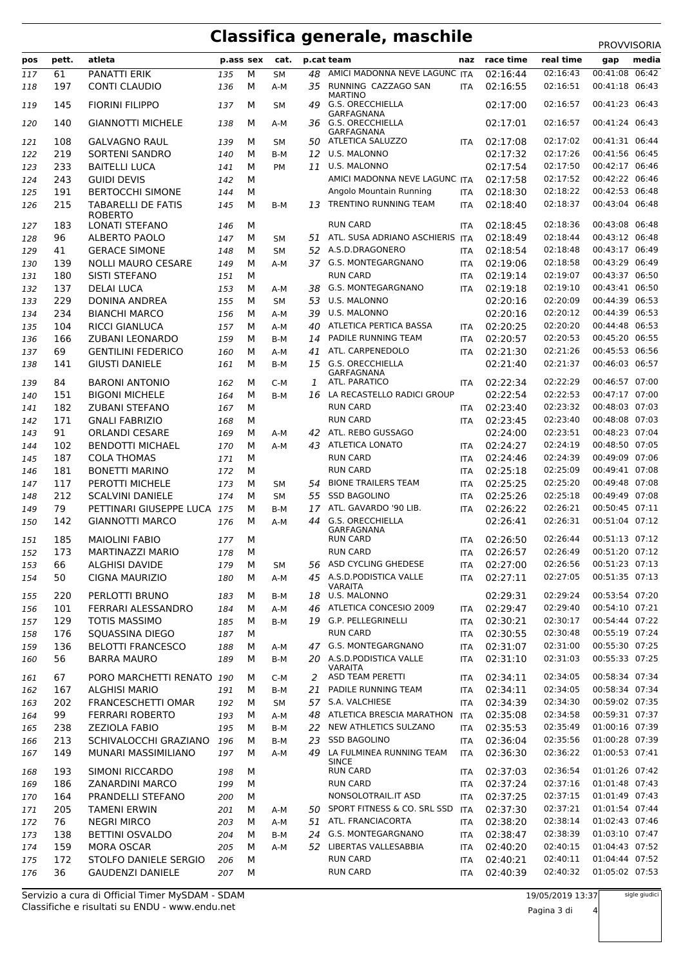### **Classifica generale, maschile** PROVVISORIA

| pos | pett. | atleta                    | p.ass sex |   | cat.      |    | p.cat team                         | naz        | race time | real time | media<br>gap      |  |
|-----|-------|---------------------------|-----------|---|-----------|----|------------------------------------|------------|-----------|-----------|-------------------|--|
| 117 | 61    | PANATTI ERIK              | 135       | М | <b>SM</b> | 48 | AMICI MADONNA NEVE LAGUNC ITA      |            | 02:16:44  | 02:16:43  | 00:41:08<br>06:42 |  |
| 118 | 197   | <b>CONTI CLAUDIO</b>      | 136       | М | $A-M$     | 35 | RUNNING CAZZAGO SAN                | <b>ITA</b> | 02:16:55  | 02:16:51  | 00:41:18 06:43    |  |
|     |       |                           |           |   |           |    | <b>MARTINO</b>                     |            |           |           |                   |  |
| 119 | 145   | <b>FIORINI FILIPPO</b>    | 137       | М | <b>SM</b> | 49 | <b>G.S. ORECCHIELLA</b>            |            | 02:17:00  | 02:16:57  | 00:41:23 06:43    |  |
|     | 140   | <b>GIANNOTTI MICHELE</b>  |           | М |           |    | GARFAGNANA<br>36 G.S. ORECCHIELLA  |            | 02:17:01  | 02:16:57  | 00:41:24 06:43    |  |
| 120 |       |                           | 138       |   | A-M       |    | GARFAGNANA                         |            |           |           |                   |  |
| 121 | 108   | <b>GALVAGNO RAUL</b>      | 139       | М | <b>SM</b> | 50 | ATLETICA SALUZZO                   | <b>ITA</b> | 02:17:08  | 02:17:02  | 00:41:31 06:44    |  |
| 122 | 219   | <b>SORTENI SANDRO</b>     | 140       | м | B-M       | 12 | U.S. MALONNO                       |            | 02:17:32  | 02:17:26  | 00:41:56 06:45    |  |
| 123 | 233   | <b>BAITELLI LUCA</b>      | 141       | М | PM        | 11 | U.S. MALONNO                       |            | 02:17:54  | 02:17:50  | 00:42:17 06:46    |  |
|     |       |                           |           |   |           |    |                                    |            |           |           |                   |  |
| 124 | 243   | <b>GUIDI DEVIS</b>        | 142       | М |           |    | AMICI MADONNA NEVE LAGUNC ITA      |            | 02:17:58  | 02:17:52  | 00:42:22 06:46    |  |
| 125 | 191   | <b>BERTOCCHI SIMONE</b>   | 144       | М |           |    | Angolo Mountain Running            | <b>ITA</b> | 02:18:30  | 02:18:22  | 00:42:53 06:48    |  |
| 126 | 215   | TABARELLI DE FATIS        | 145       | М | B-M       | 13 | <b>TRENTINO RUNNING TEAM</b>       | <b>ITA</b> | 02:18:40  | 02:18:37  | 00:43:04 06:48    |  |
|     |       | <b>ROBERTO</b>            |           |   |           |    |                                    |            |           |           |                   |  |
| 127 | 183   | <b>LONATI STEFANO</b>     | 146       | М |           |    | <b>RUN CARD</b>                    | <b>ITA</b> | 02:18:45  | 02:18:36  | 00:43:08 06:48    |  |
| 128 | 96    | ALBERTO PAOLO             | 147       | м | <b>SM</b> |    | 51 ATL. SUSA ADRIANO ASCHIERIS ITA |            | 02:18:49  | 02:18:44  | 00:43:12 06:48    |  |
| 129 | 41    | <b>GERACE SIMONE</b>      | 148       | М | SΜ        | 52 | A.S.D.DRAGONERO                    | <b>ITA</b> | 02:18:54  | 02:18:48  | 00:43:17 06:49    |  |
| 130 | 139   | <b>NOLLI MAURO CESARE</b> | 149       | М | A-M       |    | 37 G.S. MONTEGARGNANO              | <b>ITA</b> | 02:19:06  | 02:18:58  | 00:43:29 06:49    |  |
| 131 | 180   | <b>SISTI STEFANO</b>      | 151       | М |           |    | <b>RUN CARD</b>                    | <b>ITA</b> | 02:19:14  | 02:19:07  | 00:43:37 06:50    |  |
|     | 137   | <b>DELAI LUCA</b>         |           | M |           | 38 | G.S. MONTEGARGNANO                 |            | 02:19:18  | 02:19:10  | 00:43:41 06:50    |  |
| 132 |       |                           | 153       |   | A-M       |    |                                    | <b>ITA</b> |           |           |                   |  |
| 133 | 229   | <b>DONINA ANDREA</b>      | 155       | М | <b>SM</b> | 53 | <b>U.S. MALONNO</b>                |            | 02:20:16  | 02:20:09  | 00:44:39 06:53    |  |
| 134 | 234   | <b>BIANCHI MARCO</b>      | 156       | М | A-M       | 39 | U.S. MALONNO                       |            | 02:20:16  | 02:20:12  | 00:44:39 06:53    |  |
| 135 | 104   | <b>RICCI GIANLUCA</b>     | 157       | M | A-M       | 40 | ATLETICA PERTICA BASSA             | <b>ITA</b> | 02:20:25  | 02:20:20  | 00:44:48 06:53    |  |
| 136 | 166   | ZUBANI LEONARDO           | 159       | М | B-M       | 14 | PADILE RUNNING TEAM                | <b>ITA</b> | 02:20:57  | 02:20:53  | 00:45:20 06:55    |  |
| 137 | 69    | <b>GENTILINI FEDERICO</b> | 160       | М | A-M       | 41 | ATL. CARPENEDOLO                   | <b>ITA</b> | 02:21:30  | 02:21:26  | 00:45:53 06:56    |  |
| 138 | 141   | <b>GIUSTI DANIELE</b>     | 161       | M | B-M       | 15 | <b>G.S. ORECCHIELLA</b>            |            | 02:21:40  | 02:21:37  | 00:46:03 06:57    |  |
|     |       |                           |           |   |           |    | GARFAGNANA                         |            |           |           |                   |  |
| 139 | 84    | <b>BARONI ANTONIO</b>     | 162       | м | $C-M$     | 1  | ATL. PARATICO                      | <b>ITA</b> | 02:22:34  | 02:22:29  | 00:46:57 07:00    |  |
| 140 | 151   | <b>BIGONI MICHELE</b>     | 164       | M | B-M       | 16 | LA RECASTELLO RADICI GROUP         |            | 02:22:54  | 02:22:53  | 00:47:17 07:00    |  |
| 141 | 182   | <b>ZUBANI STEFANO</b>     | 167       | M |           |    | <b>RUN CARD</b>                    | <b>ITA</b> | 02:23:40  | 02:23:32  | 00:48:03 07:03    |  |
| 142 | 171   | <b>GNALI FABRIZIO</b>     | 168       | М |           |    | <b>RUN CARD</b>                    | <b>ITA</b> | 02:23:45  | 02:23:40  | 00:48:08 07:03    |  |
|     |       |                           |           |   |           |    | ATL. REBO GUSSAGO                  |            |           | 02:23:51  | 00:48:23 07:04    |  |
| 143 | 91    | <b>ORLANDI CESARE</b>     | 169       | М | A-M       | 42 |                                    |            | 02:24:00  |           |                   |  |
| 144 | 102   | <b>BENDOTTI MICHAEL</b>   | 170       | М | $A-M$     | 43 | <b>ATLETICA LONATO</b>             | <b>ITA</b> | 02:24:27  | 02:24:19  | 00:48:50 07:05    |  |
| 145 | 187   | <b>COLA THOMAS</b>        | 171       | M |           |    | <b>RUN CARD</b>                    | <b>ITA</b> | 02:24:46  | 02:24:39  | 00:49:09 07:06    |  |
| 146 | 181   | <b>BONETTI MARINO</b>     | 172       | М |           |    | <b>RUN CARD</b>                    | <b>ITA</b> | 02:25:18  | 02:25:09  | 00:49:41 07:08    |  |
| 147 | 117   | PEROTTI MICHELE           | 173       | м | SΜ        | 54 | <b>BIONE TRAILERS TEAM</b>         | <b>ITA</b> | 02:25:25  | 02:25:20  | 00:49:48 07:08    |  |
| 148 | 212   | <b>SCALVINI DANIELE</b>   | 174       | М | <b>SM</b> | 55 | <b>SSD BAGOLINO</b>                | <b>ITA</b> | 02:25:26  | 02:25:18  | 00:49:49 07:08    |  |
| 149 | 79    | PETTINARI GIUSEPPE LUCA   | 175       | M | B-M       | 17 | ATL. GAVARDO '90 LIB.              | <b>ITA</b> | 02:26:22  | 02:26:21  | 00:50:45 07:11    |  |
|     | 142   |                           |           |   |           |    | <b>G.S. ORECCHIELLA</b>            |            | 02:26:41  | 02:26:31  | 00:51:04 07:12    |  |
| 150 |       | <b>GIANNOTTI MARCO</b>    | 176       | М | $A-M$     | 44 | GARFAGNANA                         |            |           |           |                   |  |
| 151 | 185   | <b>MAIOLINI FABIO</b>     | 177       | М |           |    | <b>RUN CARD</b>                    | <b>ITA</b> | 02:26:50  | 02:26:44  | 00:51:13 07:12    |  |
| 152 | 173   | <b>MARTINAZZI MARIO</b>   | 178       | М |           |    | <b>RUN CARD</b>                    | <b>ITA</b> | 02:26:57  | 02:26:49  | 00:51:20 07:12    |  |
|     |       |                           |           |   |           |    | 56 ASD CYCLING GHEDESE             |            |           | 02:26:56  | 00:51:23 07:13    |  |
| 153 | 66    | <b>ALGHISI DAVIDE</b>     | 179       | М | SM        |    | 45 A.S.D.PODISTICA VALLE           | ITA        | 02:27:00  |           |                   |  |
| 154 | 50    | CIGNA MAURIZIO            | 180       | м | A-M       |    | <b>VARAITA</b>                     | <b>ITA</b> | 02:27:11  | 02:27:05  | 00:51:35 07:13    |  |
| 155 | 220   | PERLOTTI BRUNO            | 183       | М | B-M       |    | 18 U.S. MALONNO                    |            | 02:29:31  | 02:29:24  | 00:53:54 07:20    |  |
| 156 | 101   | FERRARI ALESSANDRO        | 184       | М | A-M       |    | 46 ATLETICA CONCESIO 2009          | ITA        | 02:29:47  | 02:29:40  | 00:54:10 07:21    |  |
|     |       | <b>TOTIS MASSIMO</b>      |           |   |           |    | 19 G.P. PELLEGRINELLI              |            | 02:30:21  | 02:30:17  | 00:54:44 07:22    |  |
| 157 | 129   |                           | 185       | м | B-M       |    |                                    | ITA        |           |           |                   |  |
| 158 | 176   | SQUASSINA DIEGO           | 187       | м |           |    | <b>RUN CARD</b>                    | ITA        | 02:30:55  | 02:30:48  | 00:55:19 07:24    |  |
| 159 | 136   | <b>BELOTTI FRANCESCO</b>  | 188       | М | A-M       |    | 47 G.S. MONTEGARGNANO              | <b>ITA</b> | 02:31:07  | 02:31:00  | 00:55:30 07:25    |  |
| 160 | 56    | <b>BARRA MAURO</b>        | 189       | м | B-M       |    | 20 A.S.D.PODISTICA VALLE           | <b>ITA</b> | 02:31:10  | 02:31:03  | 00:55:33 07:25    |  |
|     |       |                           |           |   |           |    | <b>VARAITA</b><br>ASD TEAM PERETTI |            |           | 02:34:05  | 00:58:34 07:34    |  |
| 161 | 67    | PORO MARCHETTI RENATO     | 190       | м | C-M       | 2  |                                    | ITA        | 02:34:11  |           |                   |  |
| 162 | 167   | <b>ALGHISI MARIO</b>      | 191       | м | B-M       | 21 | PADILE RUNNING TEAM                | ITA        | 02:34:11  | 02:34:05  | 00:58:34 07:34    |  |
| 163 | 202   | <b>FRANCESCHETTI OMAR</b> | 192       | м | SМ        |    | 57 S.A. VALCHIESE                  | <b>ITA</b> | 02:34:39  | 02:34:30  | 00:59:02 07:35    |  |
| 164 | 99    | FERRARI ROBERTO           | 193       | м | A-M       |    | 48 ATLETICA BRESCIA MARATHON ITA   |            | 02:35:08  | 02:34:58  | 00:59:31 07:37    |  |
| 165 | 238   | <b>ZEZIOLA FABIO</b>      | 195       | М | B-M       |    | 22 NEW ATHLETICS SULZANO           | <b>ITA</b> | 02:35:53  | 02:35:49  | 01:00:16 07:39    |  |
| 166 | 213   | SCHIVALOCCHI GRAZIANO     | 196       | м | B-M       | 23 | <b>SSD BAGOLINO</b>                | ITA        | 02:36:04  | 02:35:56  | 01:00:28 07:39    |  |
| 167 | 149   | MUNARI MASSIMILIANO       | 197       | м | A-M       | 49 | LA FULMINEA RUNNING TEAM           | ITA        | 02:36:30  | 02:36:22  | 01:00:53 07:41    |  |
|     |       |                           |           |   |           |    | <b>SINCE</b>                       |            |           |           |                   |  |
| 168 | 193   | SIMONI RICCARDO           | 198       | м |           |    | <b>RUN CARD</b>                    | ITA.       | 02:37:03  | 02:36:54  | 01:01:26 07:42    |  |
| 169 | 186   | <b>ZANARDINI MARCO</b>    | 199       | м |           |    | <b>RUN CARD</b>                    | <b>ITA</b> | 02:37:24  | 02:37:16  | 01:01:48 07:43    |  |
| 170 | 164   | PRANDELLI STEFANO         | 200       | м |           |    | NONSOLOTRAIL.IT ASD                | <b>ITA</b> | 02:37:25  | 02:37:15  | 01:01:49 07:43    |  |
|     | 205   | <b>TAMENI ERWIN</b>       |           |   |           |    | 50 SPORT FITNESS & CO. SRL SSD     |            | 02:37:30  | 02:37:21  | 01:01:54 07:44    |  |
| 171 |       |                           | 201       | м | A-M       |    |                                    | <b>ITA</b> |           |           |                   |  |
| 172 | 76    | <b>NEGRI MIRCO</b>        | 203       | м | A-M       |    | 51 ATL. FRANCIACORTA               | ITA        | 02:38:20  | 02:38:14  | 01:02:43 07:46    |  |
| 173 | 138   | <b>BETTINI OSVALDO</b>    | 204       | м | B-M       |    | 24 G.S. MONTEGARGNANO              | <b>ITA</b> | 02:38:47  | 02:38:39  | 01:03:10 07:47    |  |
| 174 | 159   | <b>MORA OSCAR</b>         | 205       | м | A-M       |    | 52 LIBERTAS VALLESABBIA            | <b>ITA</b> | 02:40:20  | 02:40:15  | 01:04:43 07:52    |  |
| 175 | 172   | STOLFO DANIELE SERGIO     | 206       | м |           |    | <b>RUN CARD</b>                    | <b>ITA</b> | 02:40:21  | 02:40:11  | 01:04:44 07:52    |  |
| 176 | 36    | <b>GAUDENZI DANIELE</b>   | 207       | м |           |    | <b>RUN CARD</b>                    | <b>ITA</b> | 02:40:39  | 02:40:32  | 01:05:02 07:53    |  |
|     |       |                           |           |   |           |    |                                    |            |           |           |                   |  |

Classifiche e risultati su ENDU - www.endu.net Servizio a cura di Official Timer MySDAM - SDAM sigle giudici

Pagina 3 di 4